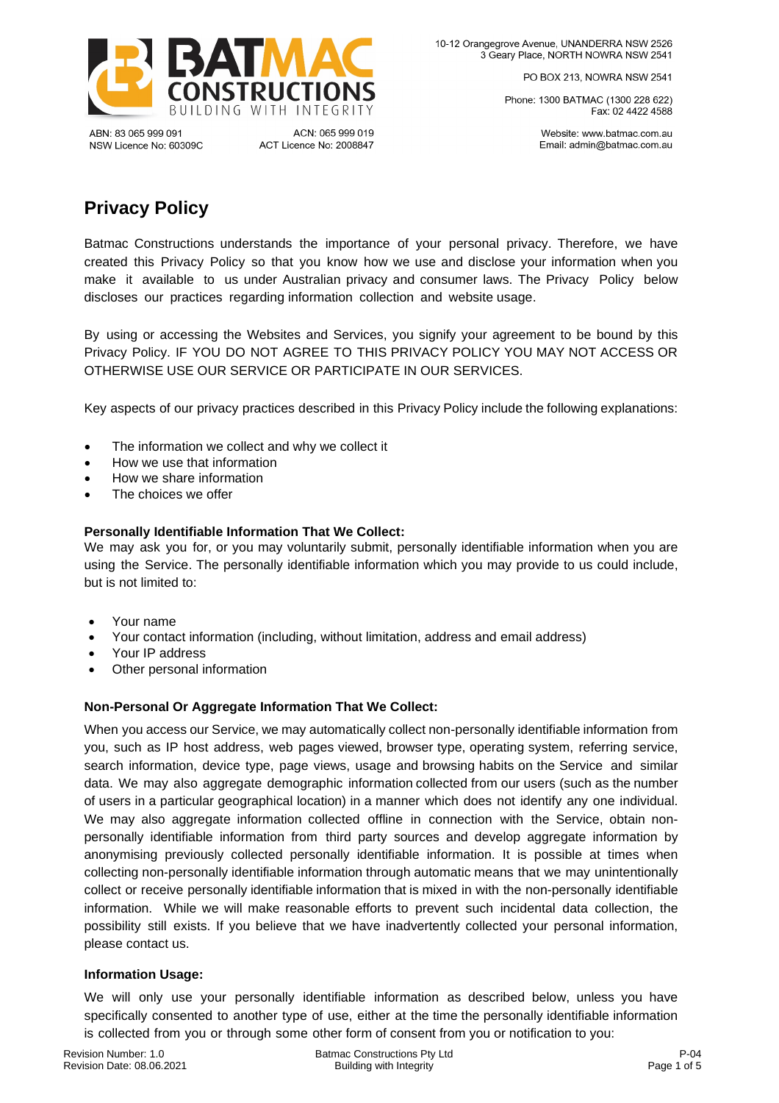

ABN: 83 065 999 091 NSW Licence No: 60309C

ACN: 065 999 019 ACT Licence No: 2008847 PO BOX 213, NOWRA NSW 2541

Phone: 1300 BATMAC (1300 228 622) Fax: 02 4422 4588

> Website: www.batmac.com.au Email: admin@batmac.com.au

# **Privacy Policy**

Batmac Constructions understands the importance of your personal privacy. Therefore, we have created this Privacy Policy so that you know how we use and disclose your information when you make it available to us under Australian privacy and consumer laws. The Privacy Policy below discloses our practices regarding information collection and website usage.

By using or accessing the Websites and Services, you signify your agreement to be bound by this Privacy Policy. IF YOU DO NOT AGREE TO THIS PRIVACY POLICY YOU MAY NOT ACCESS OR OTHERWISE USE OUR SERVICE OR PARTICIPATE IN OUR SERVICES.

Key aspects of our privacy practices described in this Privacy Policy include the following explanations:

- The information we collect and why we collect it
- How we use that information
- How we share information
- The choices we offer

## **Personally Identifiable Information That We Collect:**

We may ask you for, or you may voluntarily submit, personally identifiable information when you are using the Service. The personally identifiable information which you may provide to us could include, but is not limited to:

- Your name
- Your contact information (including, without limitation, address and email address)
- Your IP address
- Other personal information

## **Non-Personal Or Aggregate Information That We Collect:**

When you access our Service, we may automatically collect non-personally identifiable information from you, such as IP host address, web pages viewed, browser type, operating system, referring service, search information, device type, page views, usage and browsing habits on the Service and similar data. We may also aggregate demographic information collected from our users (such as the number of users in a particular geographical location) in a manner which does not identify any one individual. We may also aggregate information collected offline in connection with the Service, obtain nonpersonally identifiable information from third party sources and develop aggregate information by anonymising previously collected personally identifiable information. It is possible at times when collecting non-personally identifiable information through automatic means that we may unintentionally collect or receive personally identifiable information that is mixed in with the non-personally identifiable information. While we will make reasonable efforts to prevent such incidental data collection, the possibility still exists. If you believe that we have inadvertently collected your personal information, please contact us.

## **Information Usage:**

We will only use your personally identifiable information as described below, unless you have specifically consented to another type of use, either at the time the personally identifiable information is collected from you or through some other form of consent from you or notification to you: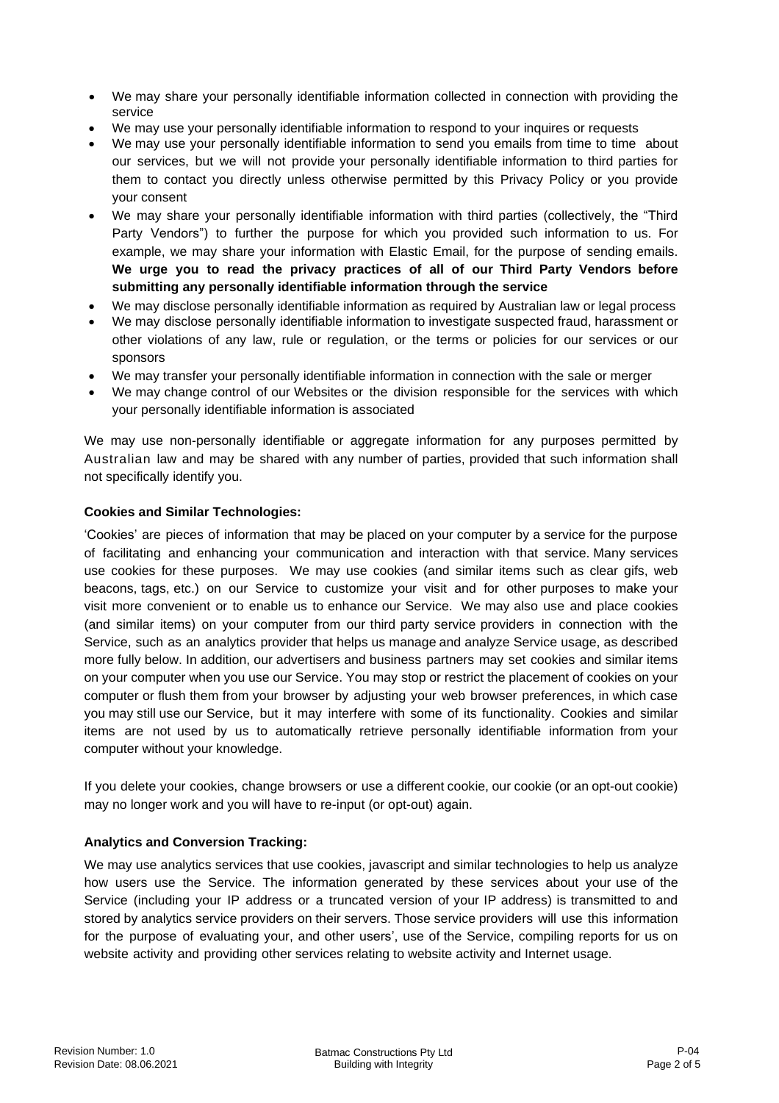- We may share your personally identifiable information collected in connection with providing the service
- We may use your personally identifiable information to respond to your inquires or requests
- We may use your personally identifiable information to send you emails from time to time about our services, but we will not provide your personally identifiable information to third parties for them to contact you directly unless otherwise permitted by this Privacy Policy or you provide your consent
- We may share your personally identifiable information with third parties (collectively, the "Third Party Vendors") to further the purpose for which you provided such information to us. For example, we may share your information with Elastic Email, for the purpose of sending emails. **We urge you to read the privacy practices of all of our Third Party Vendors before submitting any personally identifiable information through the service**
- We may disclose personally identifiable information as required by Australian law or legal process
- We may disclose personally identifiable information to investigate suspected fraud, harassment or other violations of any law, rule or regulation, or the terms or policies for our services or our sponsors
- We may transfer your personally identifiable information in connection with the sale or merger
- We may change control of our Websites or the division responsible for the services with which your personally identifiable information is associated

We may use non-personally identifiable or aggregate information for any purposes permitted by Australian law and may be shared with any number of parties, provided that such information shall not specifically identify you.

## **Cookies and Similar Technologies:**

'Cookies' are pieces of information that may be placed on your computer by a service for the purpose of facilitating and enhancing your communication and interaction with that service. Many services use cookies for these purposes. We may use cookies (and similar items such as clear gifs, web beacons, tags, etc.) on our Service to customize your visit and for other purposes to make your visit more convenient or to enable us to enhance our Service. We may also use and place cookies (and similar items) on your computer from our third party service providers in connection with the Service, such as an analytics provider that helps us manage and analyze Service usage, as described more fully below. In addition, our advertisers and business partners may set cookies and similar items on your computer when you use our Service. You may stop or restrict the placement of cookies on your computer or flush them from your browser by adjusting your web browser preferences, in which case you may still use our Service, but it may interfere with some of its functionality. Cookies and similar items are not used by us to automatically retrieve personally identifiable information from your computer without your knowledge.

If you delete your cookies, change browsers or use a different cookie, our cookie (or an opt-out cookie) may no longer work and you will have to re-input (or opt-out) again.

## **Analytics and Conversion Tracking:**

We may use analytics services that use cookies, javascript and similar technologies to help us analyze how users use the Service. The information generated by these services about your use of the Service (including your IP address or a truncated version of your IP address) is transmitted to and stored by analytics service providers on their servers. Those service providers will use this information for the purpose of evaluating your, and other users', use of the Service, compiling reports for us on website activity and providing other services relating to website activity and Internet usage.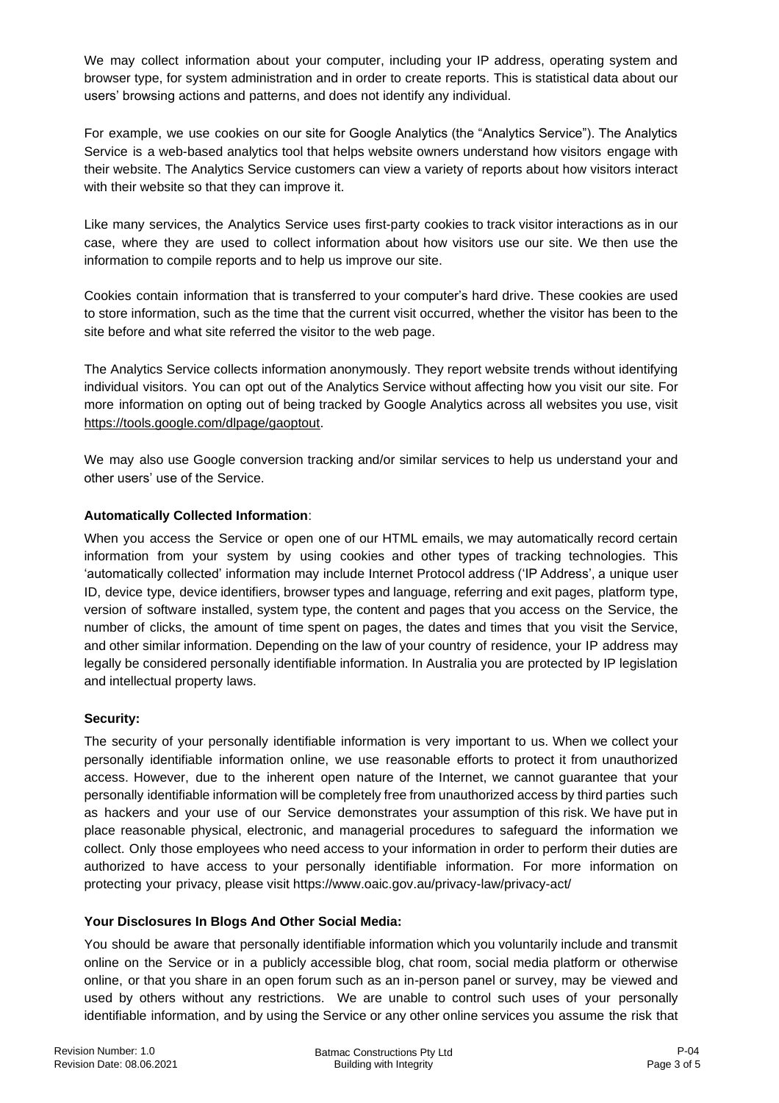We may collect information about your computer, including your IP address, operating system and browser type, for system administration and in order to create reports. This is statistical data about our users' browsing actions and patterns, and does not identify any individual.

For example, we use cookies on our site for Google Analytics (the "Analytics Service"). The Analytics Service is a web-based analytics tool that helps website owners understand how visitors engage with their website. The Analytics Service customers can view a variety of reports about how visitors interact with their website so that they can improve it.

Like many services, the Analytics Service uses first-party cookies to track visitor interactions as in our case, where they are used to collect information about how visitors use our site. We then use the information to compile reports and to help us improve our site.

Cookies contain information that is transferred to your computer's hard drive. These cookies are used to store information, such as the time that the current visit occurred, whether the visitor has been to the site before and what site referred the visitor to the web page.

The Analytics Service collects information anonymously. They report website trends without identifying individual visitors. You can opt out of the Analytics Service without affecting how you visit our site. For more information on opting out of being tracked by Google Analytics across all websites you use, visit [https://tools.google.com/dlpage/gaoptout.](https://tools.google.com/dlpage/gaoptout)

We may also use Google conversion tracking and/or similar services to help us understand your and other users' use of the Service.

# **Automatically Collected Information**:

When you access the Service or open one of our HTML emails, we may automatically record certain information from your system by using cookies and other types of tracking technologies. This 'automatically collected' information may include Internet Protocol address ('IP Address', a unique user ID, device type, device identifiers, browser types and language, referring and exit pages, platform type, version of software installed, system type, the content and pages that you access on the Service, the number of clicks, the amount of time spent on pages, the dates and times that you visit the Service, and other similar information. Depending on the law of your country of residence, your IP address may legally be considered personally identifiable information. In Australia you are protected by IP legislation and intellectual property laws.

## **Security:**

The security of your personally identifiable information is very important to us. When we collect your personally identifiable information online, we use reasonable efforts to protect it from unauthorized access. However, due to the inherent open nature of the Internet, we cannot guarantee that your personally identifiable information will be completely free from unauthorized access by third parties such as hackers and your use of our Service demonstrates your assumption of this risk. We have put in place reasonable physical, electronic, and managerial procedures to safeguard the information we collect. Only those employees who need access to your information in order to perform their duties are authorized to have access to your personally identifiable information. For more information on protecting your privacy, please visit https://www.oaic.gov.au/privacy-law/privacy-act/

## **Your Disclosures In Blogs And Other Social Media:**

You should be aware that personally identifiable information which you voluntarily include and transmit online on the Service or in a publicly accessible blog, chat room, social media platform or otherwise online, or that you share in an open forum such as an in-person panel or survey, may be viewed and used by others without any restrictions. We are unable to control such uses of your personally identifiable information, and by using the Service or any other online services you assume the risk that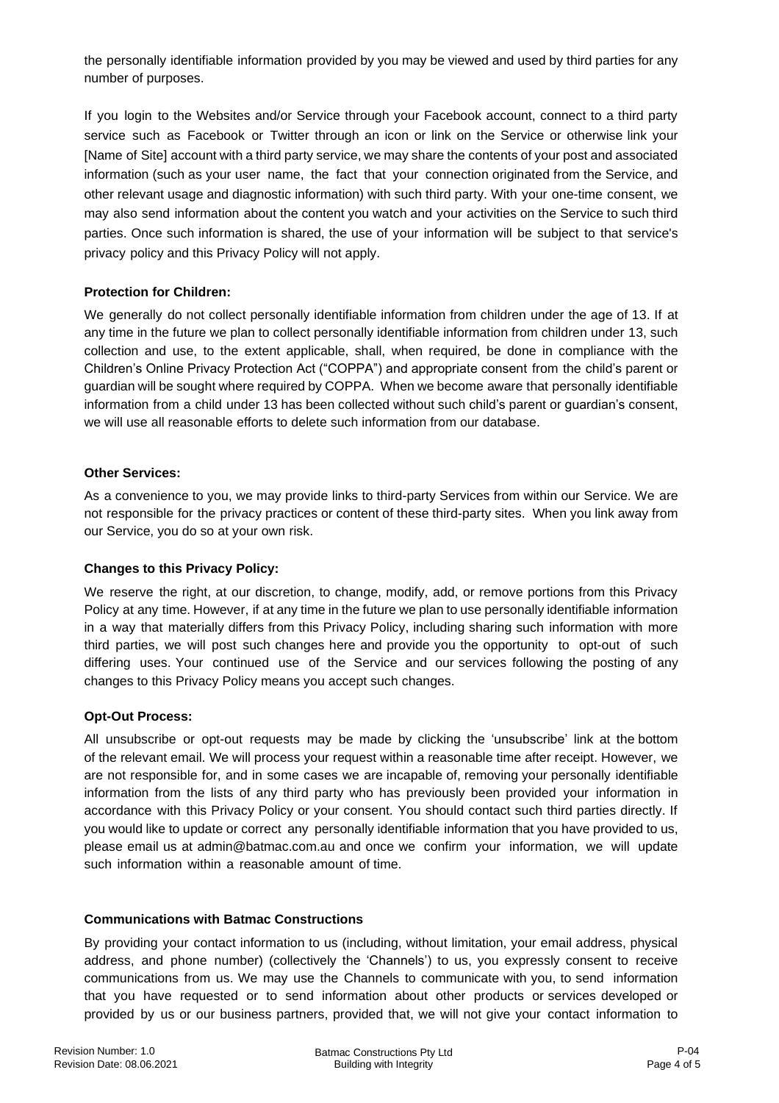the personally identifiable information provided by you may be viewed and used by third parties for any number of purposes.

If you login to the Websites and/or Service through your Facebook account, connect to a third party service such as Facebook or Twitter through an icon or link on the Service or otherwise link your [Name of Site] account with a third party service, we may share the contents of your post and associated information (such as your user name, the fact that your connection originated from the Service, and other relevant usage and diagnostic information) with such third party. With your one-time consent, we may also send information about the content you watch and your activities on the Service to such third parties. Once such information is shared, the use of your information will be subject to that service's privacy policy and this Privacy Policy will not apply.

# **Protection for Children:**

We generally do not collect personally identifiable information from children under the age of 13. If at any time in the future we plan to collect personally identifiable information from children under 13, such collection and use, to the extent applicable, shall, when required, be done in compliance with the Children's Online Privacy Protection Act ("COPPA") and appropriate consent from the child's parent or guardian will be sought where required by COPPA. When we become aware that personally identifiable information from a child under 13 has been collected without such child's parent or guardian's consent, we will use all reasonable efforts to delete such information from our database.

## **Other Services:**

As a convenience to you, we may provide links to third-party Services from within our Service. We are not responsible for the privacy practices or content of these third-party sites. When you link away from our Service, you do so at your own risk.

# **Changes to this Privacy Policy:**

We reserve the right, at our discretion, to change, modify, add, or remove portions from this Privacy Policy at any time. However, if at any time in the future we plan to use personally identifiable information in a way that materially differs from this Privacy Policy, including sharing such information with more third parties, we will post such changes here and provide you the opportunity to opt-out of such differing uses. Your continued use of the Service and our services following the posting of any changes to this Privacy Policy means you accept such changes.

## **Opt-Out Process:**

All unsubscribe or opt-out requests may be made by clicking the 'unsubscribe' link at the bottom of the relevant email. We will process your request within a reasonable time after receipt. However, we are not responsible for, and in some cases we are incapable of, removing your personally identifiable information from the lists of any third party who has previously been provided your information in accordance with this Privacy Policy or your consent. You should contact such third parties directly. If you would like to update or correct any personally identifiable information that you have provided to us, please email us at admin@batmac.com.au and once we confirm your information, we will update such information within a reasonable amount of time.

## **Communications with Batmac Constructions**

By providing your contact information to us (including, without limitation, your email address, physical address, and phone number) (collectively the 'Channels') to us, you expressly consent to receive communications from us. We may use the Channels to communicate with you, to send information that you have requested or to send information about other products or services developed or provided by us or our business partners, provided that, we will not give your contact information to